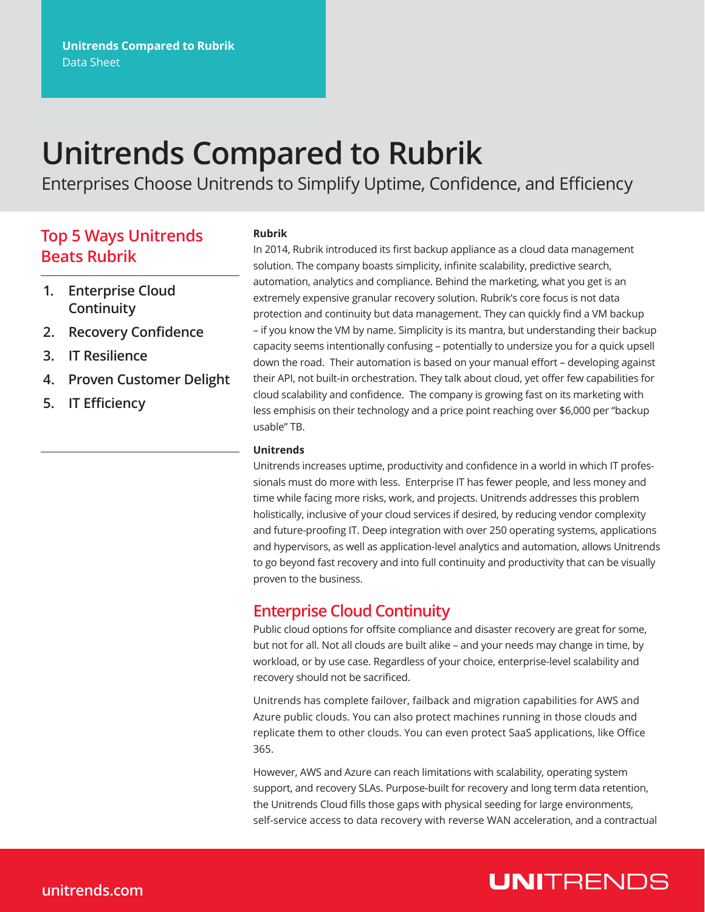# **Unitrends Compared to Rubrik**

Enterprises Choose Unitrends to Simplify Uptime, Confidence, and Efficiency

### **Top 5 Ways Unitrends Beats Rubrik**

#### **Rubrik**

**1. Enterprise Cloud Continuity**

- **2. Recovery Confidence**
- **3. IT Resilience**
- **4. Proven Customer Delight**
- **5. IT Efficiency**

In 2014, Rubrik introduced its first backup appliance as a cloud data management solution. The company boasts simplicity, infinite scalability, predictive search, automation, analytics and compliance. Behind the marketing, what you get is an extremely expensive granular recovery solution. Rubrik's core focus is not data protection and continuity but data management. They can quickly find a VM backup – if you know the VM by name. Simplicity is its mantra, but understanding their backup capacity seems intentionally confusing – potentially to undersize you for a quick upsell down the road. Their automation is based on your manual effort – developing against their API, not built-in orchestration. They talk about cloud, yet offer few capabilities for cloud scalability and confidence. The company is growing fast on its marketing with less emphisis on their technology and a price point reaching over \$6,000 per "backup usable" TB.

#### **Unitrends**

Unitrends increases uptime, productivity and confidence in a world in which IT professionals must do more with less. Enterprise IT has fewer people, and less money and time while facing more risks, work, and projects. Unitrends addresses this problem holistically, inclusive of your cloud services if desired, by reducing vendor complexity and future-proofing IT. Deep integration with over 250 operating systems, applications and hypervisors, as well as application-level analytics and automation, allows Unitrends to go beyond fast recovery and into full continuity and productivity that can be visually proven to the business.

#### **Enterprise Cloud Continuity**

Public cloud options for offsite compliance and disaster recovery are great for some, but not for all. Not all clouds are built alike – and your needs may change in time, by workload, or by use case. Regardless of your choice, enterprise-level scalability and recovery should not be sacrificed.

Unitrends has complete failover, failback and migration capabilities for AWS and Azure public clouds. You can also protect machines running in those clouds and replicate them to other clouds. You can even protect SaaS applications, like Office 365.

However, AWS and Azure can reach limitations with scalability, operating system support, and recovery SLAs. Purpose-built for recovery and long term data retention, the Unitrends Cloud fills those gaps with physical seeding for large environments, self-service access to data recovery with reverse WAN acceleration, and a contractual

### **UNITRENDS**

#### **unitrends.com**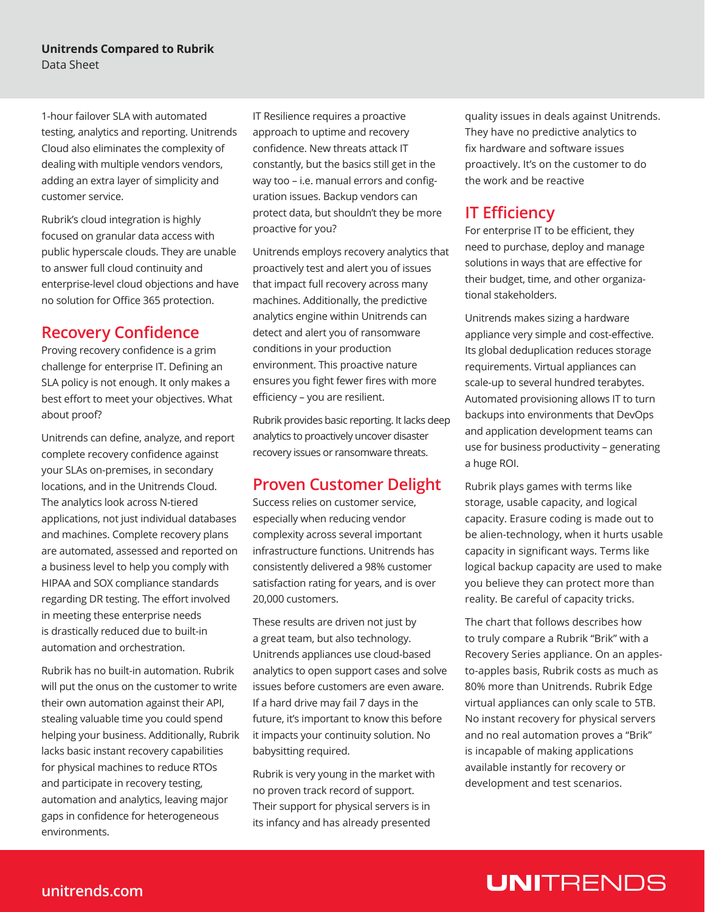1-hour failover SLA with automated testing, analytics and reporting. Unitrends Cloud also eliminates the complexity of dealing with multiple vendors vendors, adding an extra layer of simplicity and customer service.

Rubrik's cloud integration is highly focused on granular data access with public hyperscale clouds. They are unable to answer full cloud continuity and enterprise-level cloud objections and have no solution for Office 365 protection.

#### **Recovery Confidence**

Proving recovery confidence is a grim challenge for enterprise IT. Defining an SLA policy is not enough. It only makes a best effort to meet your objectives. What about proof?

Unitrends can define, analyze, and report complete recovery confidence against your SLAs on-premises, in secondary locations, and in the Unitrends Cloud. The analytics look across N-tiered applications, not just individual databases and machines. Complete recovery plans are automated, assessed and reported on a business level to help you comply with HIPAA and SOX compliance standards regarding DR testing. The effort involved in meeting these enterprise needs is drastically reduced due to built-in automation and orchestration.

Rubrik has no built-in automation. Rubrik will put the onus on the customer to write their own automation against their API, stealing valuable time you could spend helping your business. Additionally, Rubrik lacks basic instant recovery capabilities for physical machines to reduce RTOs and participate in recovery testing, automation and analytics, leaving major gaps in confidence for heterogeneous environments.

IT Resilience requires a proactive approach to uptime and recovery confidence. New threats attack IT constantly, but the basics still get in the way too – i.e. manual errors and configuration issues. Backup vendors can protect data, but shouldn't they be more proactive for you?

Unitrends employs recovery analytics that proactively test and alert you of issues that impact full recovery across many machines. Additionally, the predictive analytics engine within Unitrends can detect and alert you of ransomware conditions in your production environment. This proactive nature ensures you fight fewer fires with more efficiency – you are resilient.

Rubrik provides basic reporting. It lacks deep analytics to proactively uncover disaster recovery issues or ransomware threats.

#### **Proven Customer Delight**

Success relies on customer service, especially when reducing vendor complexity across several important infrastructure functions. Unitrends has consistently delivered a 98% customer satisfaction rating for years, and is over 20,000 customers.

These results are driven not just by a great team, but also technology. Unitrends appliances use cloud-based analytics to open support cases and solve issues before customers are even aware. If a hard drive may fail 7 days in the future, it's important to know this before it impacts your continuity solution. No babysitting required.

Rubrik is very young in the market with no proven track record of support. Their support for physical servers is in its infancy and has already presented

quality issues in deals against Unitrends. They have no predictive analytics to fix hardware and software issues proactively. It's on the customer to do the work and be reactive

#### **IT Efficiency**

For enterprise IT to be efficient, they need to purchase, deploy and manage solutions in ways that are effective for their budget, time, and other organizational stakeholders.

Unitrends makes sizing a hardware appliance very simple and cost-effective. Its global deduplication reduces storage requirements. Virtual appliances can scale-up to several hundred terabytes. Automated provisioning allows IT to turn backups into environments that DevOps and application development teams can use for business productivity – generating a huge ROI.

Rubrik plays games with terms like storage, usable capacity, and logical capacity. Erasure coding is made out to be alien-technology, when it hurts usable capacity in significant ways. Terms like logical backup capacity are used to make you believe they can protect more than reality. Be careful of capacity tricks.

The chart that follows describes how to truly compare a Rubrik "Brik" with a Recovery Series appliance. On an applesto-apples basis, Rubrik costs as much as 80% more than Unitrends. Rubrik Edge virtual appliances can only scale to 5TB. No instant recovery for physical servers and no real automation proves a "Brik" is incapable of making applications available instantly for recovery or development and test scenarios.

## **UNITRENDS**

#### **unitrends.com**